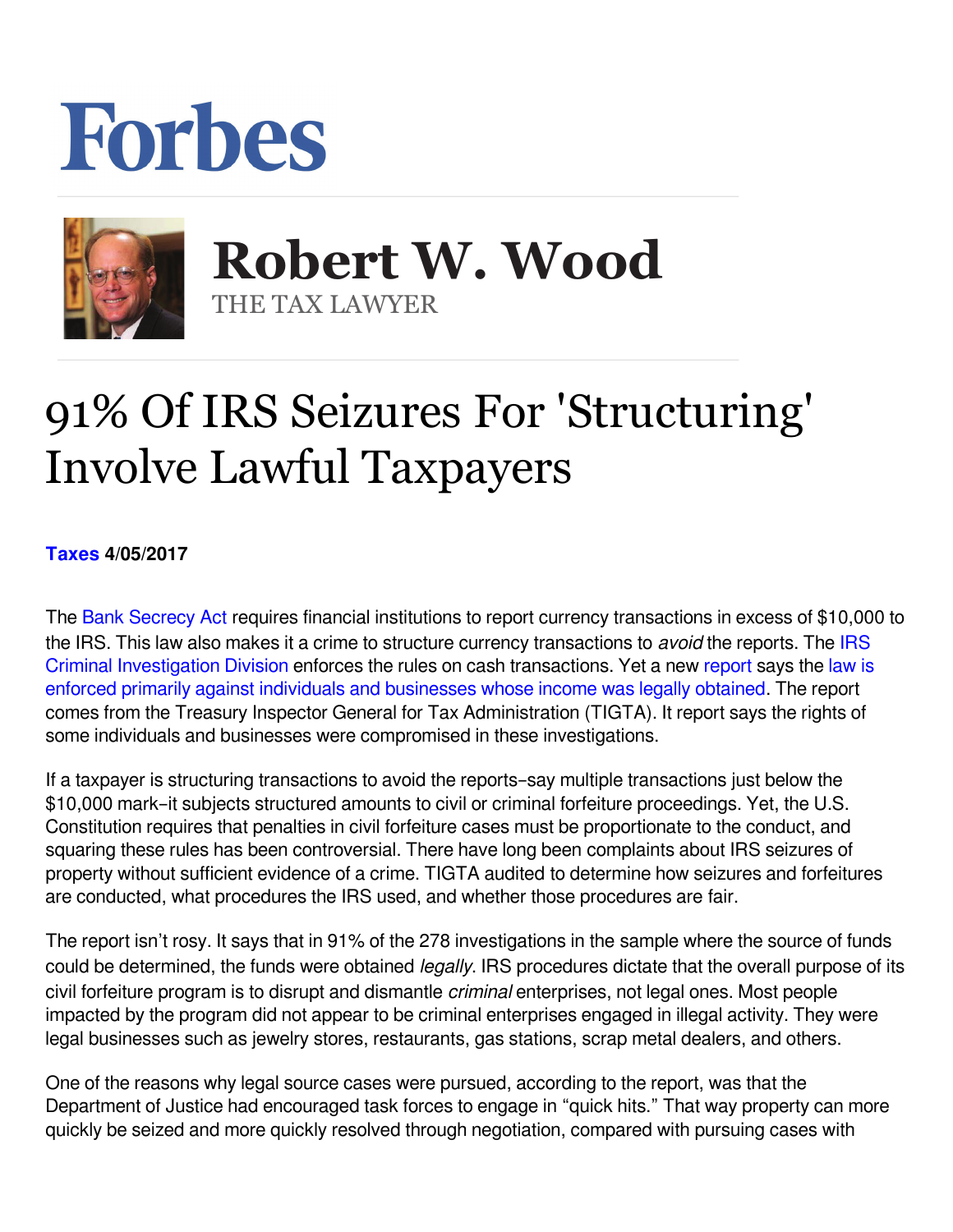## Forbes



**Robert W. Wood Robert W. Wood** THE TAX LAWYER THE TAX LAWYER

## 91% Of IRS Seizures For 'Structuring' Involve Lawful Taxpayers

**[Taxes](https://www.forbes.com/taxes) 4/05/2017** 

The [Bank Secrecy Act](https://www.occ.treas.gov/topics/compliance-bsa/bsa/index-bsa.html) requires financial institutions to report currency transactions in excess of \$10,000 to the IRS. This law also makes it a crime to structure currency transactions to *avoid* the reports. The [IRS](https://www.irs.gov/uac/criminal-enforcement-1) [Criminal Investigation Division](https://www.irs.gov/uac/criminal-enforcement-1) enforcesthe rules on cash transactions. Yet a new [report](https://www.treasury.gov/tigta/auditreports/2017reports/201730025fr.pdf) says the [law is](https://www.treasury.gov/tigta/press/press_tigta-2017-05.htm) [enforced primarily against individuals and businesses whose income was legally obtained](https://www.treasury.gov/tigta/press/press_tigta-2017-05.htm). The report comes from the Treasury Inspector General for Tax Administration (TIGTA). It report says the rights of some individuals and businesses were compromised in these investigations.

If a taxpayer is structuring transactions to avoid the reports–say multiple transactions just below the \$10,000 mark–it subjects structured amounts to civil or criminal forfeiture proceedings. Yet, the U.S. Constitution requires that penalties in civil forfeiture cases must be proportionate to the conduct, and squaring these rules has been controversial. There have long been complaints about IRS seizures of property without sufficient evidence of a crime. TIGTA audited to determine how seizures and forfeitures are conducted, what procedures the IRS used, and whether those procedures are fair.

The report isn't rosy. It says that in 91% of the 278 investigations in the sample where the source of funds could be determined, the funds were obtained *legally*. IRS procedures dictate that the overall purpose of its civil forfeiture program is to disrupt and dismantle *criminal* enterprises, not legal ones. Most people impacted by the program did not appear to be criminal enterprises engaged in illegal activity. They were legal businesses such as jewelry stores, restaurants, gas stations, scrap metal dealers, and others.

One of the reasons why legal source cases were pursued, according to the report, was that the Department of Justice had encouraged task forces to engage in "quick hits." That way property can more quickly be seized and more quickly resolved through negotiation, compared with pursuing cases with